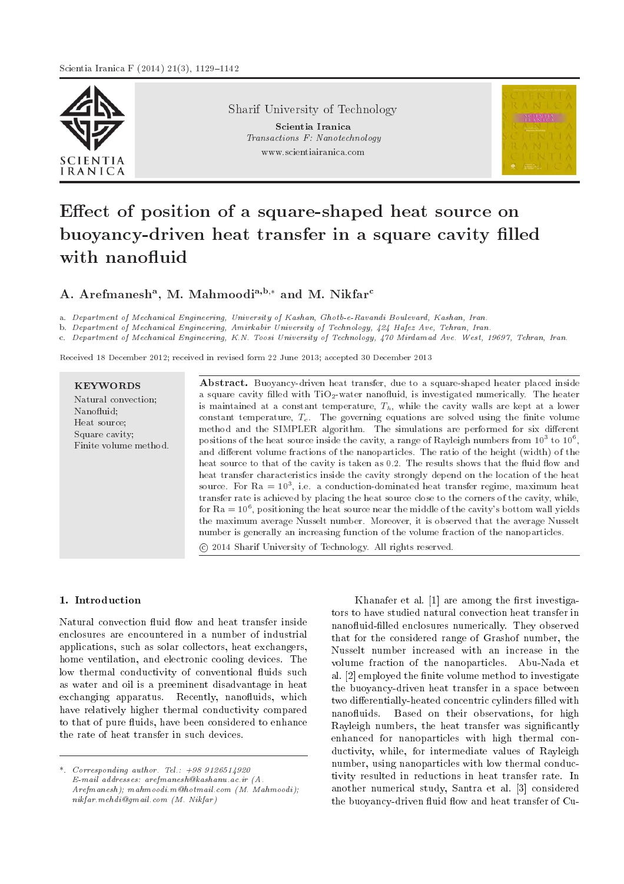

Sharif University of Technology

Scientia Iranica Transactions F: Nanotechnology www.scientiairanica.com



# Effect of position of a square-shaped heat source on buoyancy-driven heat transfer in a square cavity filled with nanofluid

# A. Arefmanesh $^{\rm a},$  M. Mahmoodi $^{\rm a,b,*}$  and M. Nikfar $^{\rm c}$

a. Department of Mechanical Engineering, University of Kashan, Ghotb-e-Ravandi Boulevard, Kashan, Iran.

b. Department of Mechanical Engineering, Amirkabir University of Technology, 424 Hafez Ave, Tehran, Iran.

c. Department of Mechanical Engineering, K.N. Toosi University of Technology, 470 Mirdamad Ave. West, 19697, Tehran, Iran.

Received 18 December 2012; received in revised form 22 June 2013; accepted 30 December 2013

| <b>KEYWORDS</b><br>Natural convection:<br>Nanofluid:<br>Heat source;<br>Square cavity;<br>Finite volume method. | <b>Abstract.</b> Buoyancy-driven heat transfer, due to a square-shaped heater placed inside<br>a square cavity filled with $TiO2$ -water nanofluid, is investigated numerically. The heater<br>is maintained at a constant temperature, $T_h$ , while the cavity walls are kept at a lower<br>constant temperature, $T_c$ . The governing equations are solved using the finite volume<br>method and the SIMPLER algorithm. The simulations are performed for six different<br>positions of the heat source inside the cavity, a range of Rayleigh numbers from $10^3$ to $10^6$ ,<br>and different volume fractions of the nanoparticles. The ratio of the height (width) of the<br>heat source to that of the cavity is taken as 0.2. The results shows that the fluid flow and<br>heat transfer characteristics inside the cavity strongly depend on the location of the heat<br>source. For Ra = $10^3$ , i.e. a conduction-dominated heat transfer regime, maximum heat<br>transfer rate is achieved by placing the heat source close to the corners of the cavity, while,<br>for $Ra = 10^6$ , positioning the heat source near the middle of the cavity's bottom wall yields<br>the maximum average Nusselt number. Moreover, it is observed that the average Nusselt<br>number is generally an increasing function of the volume fraction of the nanoparticles.<br>(c) 2014 Sharif University of Technology. All rights reserved. |
|-----------------------------------------------------------------------------------------------------------------|-------------------------------------------------------------------------------------------------------------------------------------------------------------------------------------------------------------------------------------------------------------------------------------------------------------------------------------------------------------------------------------------------------------------------------------------------------------------------------------------------------------------------------------------------------------------------------------------------------------------------------------------------------------------------------------------------------------------------------------------------------------------------------------------------------------------------------------------------------------------------------------------------------------------------------------------------------------------------------------------------------------------------------------------------------------------------------------------------------------------------------------------------------------------------------------------------------------------------------------------------------------------------------------------------------------------------------------------------------------------------------------------------------------------------------------------|
|-----------------------------------------------------------------------------------------------------------------|-------------------------------------------------------------------------------------------------------------------------------------------------------------------------------------------------------------------------------------------------------------------------------------------------------------------------------------------------------------------------------------------------------------------------------------------------------------------------------------------------------------------------------------------------------------------------------------------------------------------------------------------------------------------------------------------------------------------------------------------------------------------------------------------------------------------------------------------------------------------------------------------------------------------------------------------------------------------------------------------------------------------------------------------------------------------------------------------------------------------------------------------------------------------------------------------------------------------------------------------------------------------------------------------------------------------------------------------------------------------------------------------------------------------------------------------|

#### 1. Introduction

Natural convection fluid flow and heat transfer inside enclosures are encountered in a number of industrial applications, such as solar collectors, heat exchangers, home ventilation, and electronic cooling devices. The low thermal conductivity of conventional fluids such as water and oil is a preeminent disadvantage in heat exchanging apparatus. Recently, nanofluids, which have relatively higher thermal conductivity compared to that of pure fluids, have been considered to enhance the rate of heat transfer in such devices.

Khanafer et al.  $[1]$  are among the first investigators to have studied natural convection heat transfer in nanofluid-filled enclosures numerically. They observed that for the considered range of Grashof number, the Nusselt number increased with an increase in the volume fraction of the nanoparticles. Abu-Nada et al. [2] employed the finite volume method to investigate the buoyancy-driven heat transfer in a space between two differentially-heated concentric cylinders filled with nanofluids. Based on their observations, for high Rayleigh numbers, the heat transfer was signicantly enhanced for nanoparticles with high thermal conductivity, while, for intermediate values of Rayleigh number, using nanoparticles with low thermal conductivity resulted in reductions in heat transfer rate. In another numerical study, Santra et al. [3] considered the buoyancy-driven fluid flow and heat transfer of Cu-

<sup>\*.</sup> Corresponding author. Tel.:  $+989126514920$ E-mail addresses: arefmanesh@kashanu.ac.ir (A. Arefmanesh); mahmoodi.m@hotmail.com (M. Mahmoodi); nikfar.mehdi@gmail.com (M. Nikfar)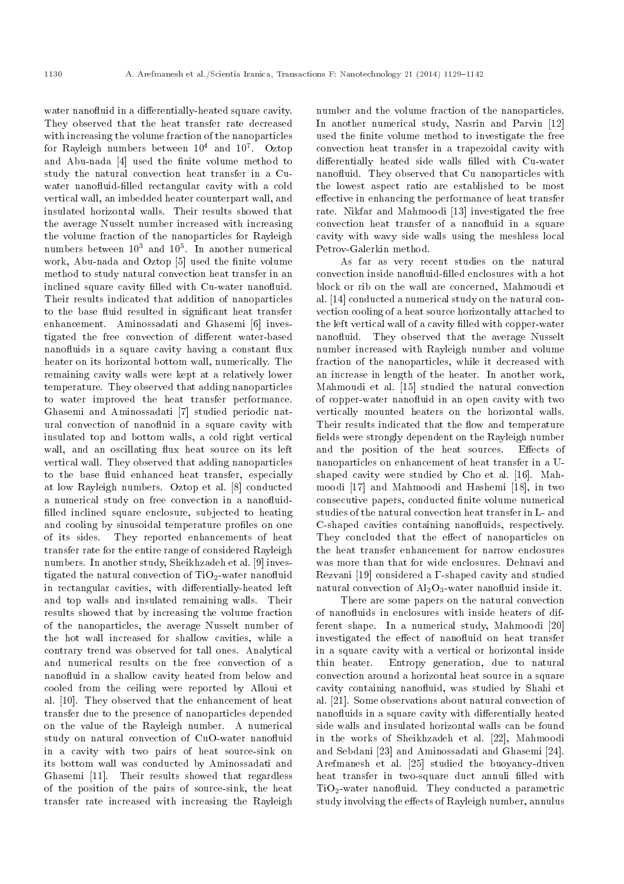water nanofluid in a differentially-heated square cavity. They observed that the heat transfer rate decreased with increasing the volume fraction of the nanoparticles for Rayleigh numbers between  $10^4$  and  $10^7$ . Oztop and Abu-nada [4] used the finite volume method to study the natural convection heat transfer in a Cuwater nanofluid-filled rectangular cavity with a cold vertical wall, an imbedded heater counterpart wall, and insulated horizontal walls. Their results showed that the average Nusselt number increased with increasing the volume fraction of the nanoparticles for Rayleigh numbers between  $10^3$  and  $10^5$ . In another numerical work, Abu-nada and Oztop [5] used the finite volume method to study natural convection heat transfer in an inclined square cavity filled with Cu-water nanofluid. Their results indicated that addition of nanoparticles to the base fluid resulted in significant heat transfer enhancement. Aminossadati and Ghasemi [6] investigated the free convection of different water-based nanofluids in a square cavity having a constant flux heater on its horizontal bottom wall, numerically. The remaining cavity walls were kept at a relatively lower temperature. They observed that adding nanoparticles to water improved the heat transfer performance. Ghasemi and Aminossadati [7] studied periodic natural convection of nanofluid in a square cavity with insulated top and bottom walls, a cold right vertical wall, and an oscillating flux heat source on its left vertical wall. They observed that adding nanoparticles to the base fluid enhanced heat transfer, especially at low Rayleigh numbers. Oztop et al. [8] conducted a numerical study on free convection in a nanofluidfilled inclined square enclosure, subjected to heating and cooling by sinusoidal temperature profiles on one of its sides. They reported enhancements of heat transfer rate for the entire range of considered Rayleigh numbers. In another study, Sheikhzadeh et al. [9] investigated the natural convection of TiO2-water nanofluid in rectangular cavities, with differentially-heated left and top walls and insulated remaining walls. Their results showed that by increasing the volume fraction of the nanoparticles, the average Nusselt number of the hot wall increased for shallow cavities, while a contrary trend was observed for tall ones. Analytical and numerical results on the free convection of a nanofluid in a shallow cavity heated from below and cooled from the ceiling were reported by Alloui et al. [10]. They observed that the enhancement of heat transfer due to the presence of nanoparticles depended on the value of the Rayleigh number. A numerical study on natural convection of CuO-water nanofluid in a cavity with two pairs of heat source-sink on its bottom wall was conducted by Aminossadati and Ghasemi [11]. Their results showed that regardless of the position of the pairs of source-sink, the heat transfer rate increased with increasing the Rayleigh

number and the volume fraction of the nanoparticles. In another numerical study, Nasrin and Parvin [12] used the finite volume method to investigate the free convection heat transfer in a trapezoidal cavity with differentially heated side walls filled with Cu-water nanofluid. They observed that Cu nanoparticles with the lowest aspect ratio are established to be most effective in enhancing the performance of heat transfer rate. Nikfar and Mahmoodi [13] investigated the free convection heat transfer of a nanofluid in a square cavity with wavy side walls using the meshless local Petrov-Galerkin method.

As far as very recent studies on the natural convection inside nanofluid-filled enclosures with a hot block or rib on the wall are concerned, Mahmoudi et al. [14] conducted a numerical study on the natural convection cooling of a heat source horizontally attached to the left vertical wall of a cavity filled with copper-water nanofluid. They observed that the average Nusselt number increased with Rayleigh number and volume fraction of the nanoparticles, while it decreased with an increase in length of the heater. In another work, Mahmoudi et al. [15] studied the natural convection of copper-water nanofluid in an open cavity with two vertically mounted heaters on the horizontal walls. Their results indicated that the flow and temperature fields were strongly dependent on the Rayleigh number and the position of the heat sources. Effects of nanoparticles on enhancement of heat transfer in a Ushaped cavity were studied by Cho et al. [16]. Mahmoodi [17] and Mahmoodi and Hashemi [18], in two consecutive papers, conducted nite volume numerical studies of the natural convection heat transfer in L- and C-shaped cavities containing nanofluids, respectively. They concluded that the effect of nanoparticles on the heat transfer enhancement for narrow enclosures was more than that for wide enclosures. Dehnavi and Rezvani [19] considered a  $\Gamma$ -shaped cavity and studied natural convection of  $Al_2O_3$ -water nanofluid inside it.

There are some papers on the natural convection of nanofluids in enclosures with inside heaters of different shape. In a numerical study, Mahmoodi [20] investigated the effect of nanofluid on heat transfer in a square cavity with a vertical or horizontal inside thin heater. Entropy generation, due to natural convection around a horizontal heat source in a square cavity containing nanofluid, was studied by Shahi et al. [21]. Some observations about natural convection of nanofluids in a square cavity with differentially heated side walls and insulated horizontal walls can be found in the works of Sheikhzadeh et al. [22], Mahmoodi and Sebdani [23] and Aminossadati and Ghasemi [24]. Arefmanesh et al. [25] studied the buoyancy-driven heat transfer in two-square duct annuli filled with TiO<sub>2</sub>-water nanofluid. They conducted a parametric study involving the effects of Rayleigh number, annulus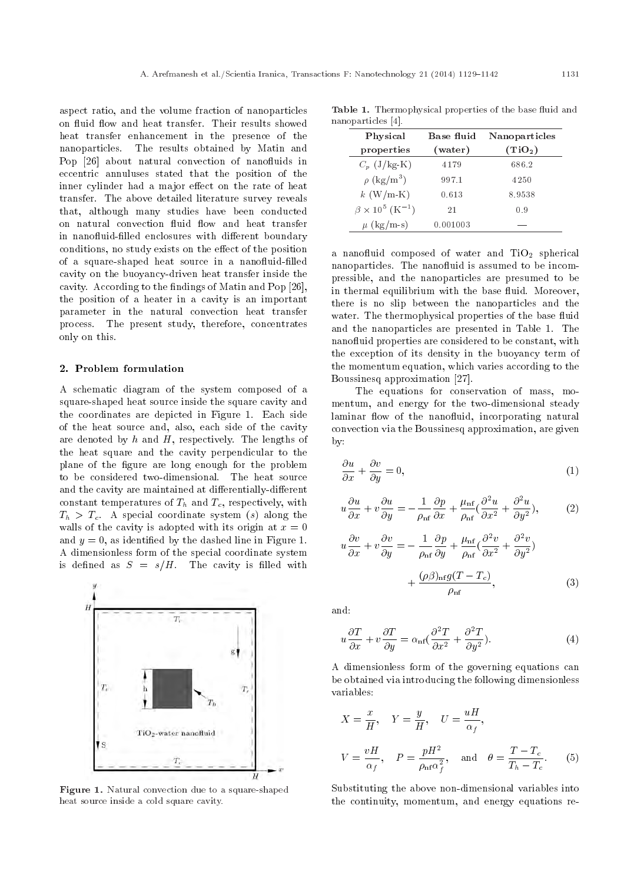aspect ratio, and the volume fraction of nanoparticles on fluid flow and heat transfer. Their results showed heat transfer enhancement in the presence of the nanoparticles. The results obtained by Matin and Pop [26] about natural convection of nanofluids in eccentric annuluses stated that the position of the inner cylinder had a major effect on the rate of heat transfer. The above detailed literature survey reveals that, although many studies have been conducted on natural convection fluid flow and heat transfer in nanofluid-filled enclosures with different boundary conditions, no study exists on the effect of the position of a square-shaped heat source in a nanofluid-filled cavity on the buoyancy-driven heat transfer inside the cavity. According to the findings of Matin and Pop  $[26]$ , the position of a heater in a cavity is an important parameter in the natural convection heat transfer process. The present study, therefore, concentrates only on this.

#### 2. Problem formulation

A schematic diagram of the system composed of a square-shaped heat source inside the square cavity and the coordinates are depicted in Figure 1. Each side of the heat source and, also, each side of the cavity are denoted by  $h$  and  $H$ , respectively. The lengths of the heat square and the cavity perpendicular to the plane of the figure are long enough for the problem to be considered two-dimensional. The heat source and the cavity are maintained at differentially-different constant temperatures of  $T_h$  and  $T_c$ , respectively, with  $T_h > T_c$ . A special coordinate system (s) along the walls of the cavity is adopted with its origin at  $x = 0$ and  $y = 0$ , as identified by the dashed line in Figure 1. A dimensionless form of the special coordinate system is defined as  $S = s/H$ . The cavity is filled with



Figure 1. Natural convection due to a square-shaped heat source inside a cold square cavity.

Table 1. Thermophysical properties of the base fluid and nanoparticles [4].

| Physical                                 | Base fluid | Nanoparticles       |
|------------------------------------------|------------|---------------------|
| properties                               | (water)    | (TiO <sub>2</sub> ) |
| $C_p$ (J/kg-K)                           | 4179       | 686.2               |
| $\rho$ (kg/m <sup>3</sup> )              | 997.1      | 4250                |
| $k$ (W/m-K)                              | 0.613      | 8.9538              |
| $\beta \times 10^5 \; (\mathrm{K}^{-1})$ | 21         | 0.9                 |
| $\mu$ (kg/m-s)                           | 0.001003   |                     |

a nanofluid composed of water and TiO<sub>2</sub> spherical nanoparticles. The nanofluid is assumed to be incompressible, and the nanoparticles are presumed to be in thermal equilibrium with the base fluid. Moreover, there is no slip between the nanoparticles and the water. The thermophysical properties of the base fluid and the nanoparticles are presented in Table 1. The nanofluid properties are considered to be constant, with the exception of its density in the buoyancy term of the momentum equation, which varies according to the Boussinesq approximation [27].

The equations for conservation of mass, momentum, and energy for the two-dimensional steady laminar flow of the nanofluid, incorporating natural convection via the Boussinesq approximation, are given by:

$$
\frac{\partial u}{\partial x} + \frac{\partial v}{\partial y} = 0,\t\t(1)
$$

$$
u\frac{\partial u}{\partial x} + v\frac{\partial u}{\partial y} = -\frac{1}{\rho_{\text{nf}}}\frac{\partial p}{\partial x} + \frac{\mu_{\text{nf}}}{\rho_{\text{nf}}}(\frac{\partial^2 u}{\partial x^2} + \frac{\partial^2 u}{\partial y^2}),\tag{2}
$$

$$
\frac{\partial v}{\partial x} + v \frac{\partial v}{\partial y} = -\frac{1}{\rho_{\rm nf}} \frac{\partial p}{\partial y} + \frac{\mu_{\rm nf}}{\rho_{\rm nf}} \left( \frac{\partial^2 v}{\partial x^2} + \frac{\partial^2 v}{\partial y^2} \right) \n+ \frac{(\rho \beta)_{\rm nf} g (T - T_c)}{\rho_{\rm nf}},
$$
\n(3)

and:

u

$$
u\frac{\partial T}{\partial x} + v\frac{\partial T}{\partial y} = \alpha_{\text{nf}}\left(\frac{\partial^2 T}{\partial x^2} + \frac{\partial^2 T}{\partial y^2}\right).
$$
 (4)

A dimensionless form of the governing equations can be obtained via introducing the following dimensionless variables:

$$
X = \frac{x}{H}, \quad Y = \frac{y}{H}, \quad U = \frac{uH}{\alpha_f},
$$
  

$$
V = \frac{vH}{\alpha_f}, \quad P = \frac{pH^2}{\rho_{\text{nf}}\alpha_f^2}, \quad \text{and} \quad \theta = \frac{T - T_c}{T_h - T_c}.
$$
 (5)

Substituting the above non-dimensional variables into the continuity, momentum, and energy equations re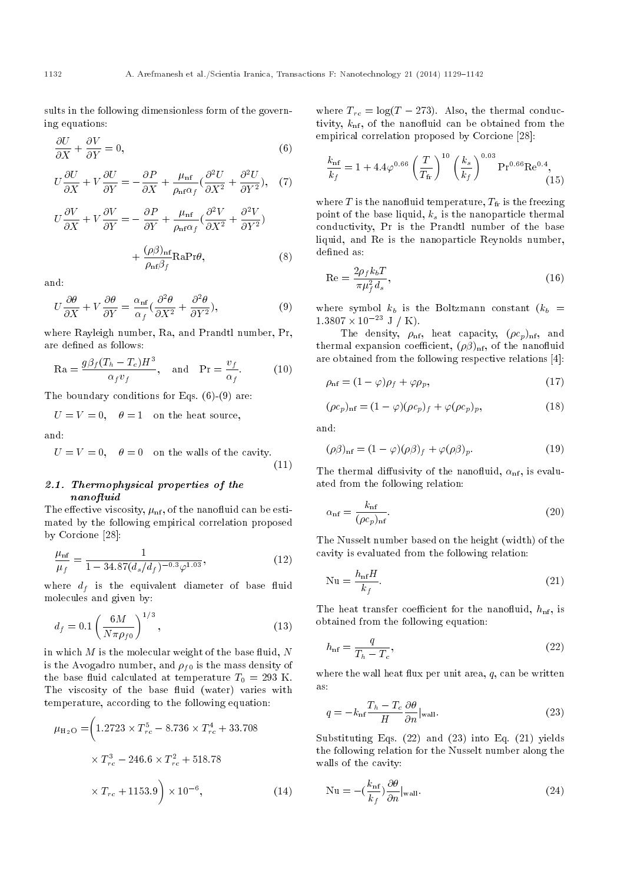sults in the following dimensionless form of the governing equations:

$$
\frac{\partial U}{\partial X} + \frac{\partial V}{\partial Y} = 0,\tag{6}
$$

$$
U\frac{\partial U}{\partial X} + V\frac{\partial U}{\partial Y} = -\frac{\partial P}{\partial X} + \frac{\mu_{\rm nf}}{\rho_{\rm nf}\alpha_f} \left(\frac{\partial^2 U}{\partial X^2} + \frac{\partial^2 U}{\partial Y^2}\right), \quad (7)
$$

$$
U\frac{\partial V}{\partial X} + V\frac{\partial V}{\partial Y} = -\frac{\partial P}{\partial Y} + \frac{\mu_{\rm nf}}{\rho_{\rm nf}\alpha_f}(\frac{\partial^2 V}{\partial X^2} + \frac{\partial^2 V}{\partial Y^2}) + \frac{(\rho\beta)_{\rm nf}}{\rho_{\rm nf}\beta_f} \text{RaPr}\theta, \tag{8}
$$

and:

$$
U\frac{\partial\theta}{\partial X} + V\frac{\partial\theta}{\partial Y} = \frac{\alpha_{\text{nf}}}{\alpha_f}(\frac{\partial^2\theta}{\partial X^2} + \frac{\partial^2\theta}{\partial Y^2}),\tag{9}
$$

where Rayleigh number, Ra, and Prandtl number, Pr, are defined as follows:

$$
\text{Ra} = \frac{g\beta_f (T_h - T_c)H^3}{\alpha_f v_f}, \quad \text{and} \quad \text{Pr} = \frac{v_f}{\alpha_f}.
$$
 (10)

The boundary conditions for Eqs.  $(6)-(9)$  are:

$$
U = V = 0
$$
,  $\theta = 1$  on the heat source,

and:

$$
U = V = 0, \quad \theta = 0 \quad \text{on the walls of the cavity.} \tag{11}
$$

# 2.1. Thermophysical properties of the nanofluid

The effective viscosity,  $\mu_{\rm nf}$ , of the nanofluid can be estimated by the following empirical correlation proposed by Corcione [28]:

$$
\frac{\mu_{\rm nf}}{\mu_f} = \frac{1}{1 - 34.87(d_s/d_f)^{-0.3} \varphi^{1.03}},\tag{12}
$$

where  $d_f$  is the equivalent diameter of base fluid molecules and given by:

$$
d_f = 0.1 \left( \frac{6M}{N\pi \rho_{f0}} \right)^{1/3},\tag{13}
$$

in which  $M$  is the molecular weight of the base fluid,  $N$ is the Avogadro number, and  $\rho_{f0}$  is the mass density of the base fluid calculated at temperature  $T_0 = 293$  K. The viscosity of the base fluid (water) varies with temperature, according to the following equation:

$$
\mu_{\text{H}_2\text{O}} = \left( 1.2723 \times T_{rc}^5 - 8.736 \times T_{rc}^4 + 33.708 \times T_{rc}^3 - 246.6 \times T_{rc}^2 + 518.78 \times T_{rc} + 1153.9 \right) \times 10^{-6}, \tag{14}
$$

where  $T_{rc} = \log(T - 273)$ . Also, the thermal conductivity,  $k_{\text{nf}}$ , of the nanofluid can be obtained from the empirical correlation proposed by Corcione [28]:

$$
\frac{k_{\rm nf}}{k_f} = 1 + 4.4\varphi^{0.66} \left(\frac{T}{T_{\rm fr}}\right)^{10} \left(\frac{k_s}{k_f}\right)^{0.03} \Pr^{0.66} \text{Re}^{0.4},\tag{15}
$$

where  $T$  is the nanofluid temperature,  $T_{\text{fr}}$  is the freezing point of the base liquid,  $k<sub>s</sub>$  is the nanoparticle thermal conductivity, Pr is the Prandtl number of the base liquid, and Re is the nanoparticle Reynolds number, defined as:

$$
\text{Re} = \frac{2\rho_f k_b T}{\pi \mu_f^2 d_s},\tag{16}
$$

where symbol  $k_b$  is the Boltzmann constant  $(k_b =$  $1.3807 \times 10^{-23}$  J / K).

The density,  $\rho_{\rm nf}$ , heat capacity,  $(\rho c_p)_{\rm nf}$ , and thermal expansion coefficient,  $(\rho \beta)_{\text{nf}}$ , of the nanofluid are obtained from the following respective relations [4]:

$$
\rho_{\rm nf} = (1 - \varphi)\rho_f + \varphi\rho_p,\tag{17}
$$

$$
(\rho c_p)_{\text{nf}} = (1 - \varphi)(\rho c_p)_f + \varphi(\rho c_p)_p, \qquad (18)
$$

and:

$$
(\rho \beta)_{\text{nf}} = (1 - \varphi)(\rho \beta)_f + \varphi(\rho \beta)_p. \tag{19}
$$

The thermal diffusivity of the nanofluid,  $\alpha_{\rm nf}$ , is evaluated from the following relation:

$$
\alpha_{\rm nf} = \frac{k_{\rm nf}}{(\rho c_p)_{\rm nf}}.\tag{20}
$$

The Nusselt number based on the height (width) of the cavity is evaluated from the following relation:

$$
\mathrm{Nu} = \frac{h_{\mathrm{nf}} H}{k_f}.\tag{21}
$$

The heat transfer coefficient for the nanofluid,  $h_{\text{nf}}$ , is obtained from the following equation:

$$
h_{\rm nf} = \frac{q}{T_h - T_c},\tag{22}
$$

where the wall heat flux per unit area,  $q$ , can be written as:

$$
q = -k_{\rm nf} \frac{T_h - T_c}{H} \frac{\partial \theta}{\partial n}|_{\rm wall}.
$$
\n(23)

Substituting Eqs. (22) and (23) into Eq. (21) yields the following relation for the Nusselt number along the walls of the cavity:

$$
Nu = -\left(\frac{k_{\text{nf}}}{k_f}\right)\frac{\partial \theta}{\partial n}|_{\text{wall}}.\tag{24}
$$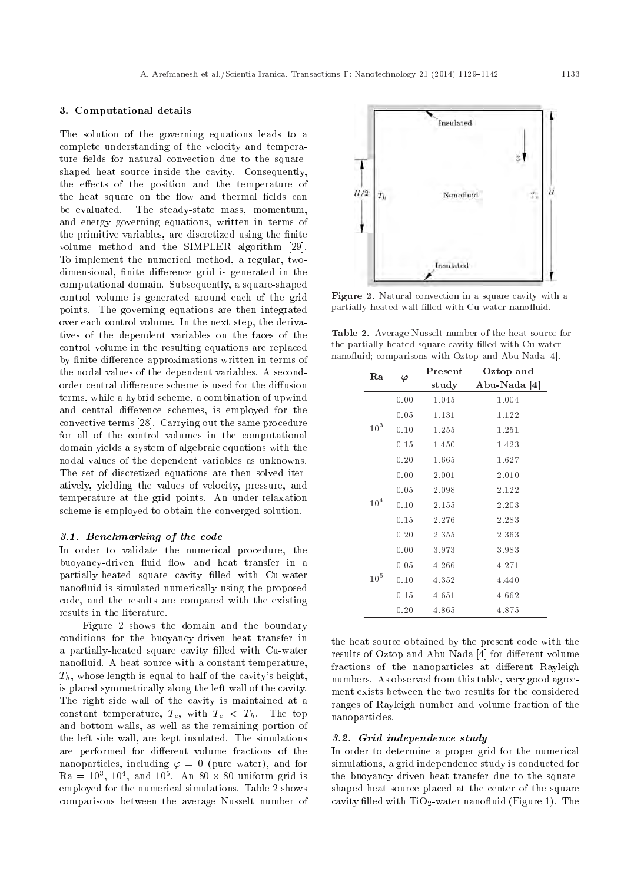#### 3. Computational details

The solution of the governing equations leads to a complete understanding of the velocity and temperature fields for natural convection due to the squareshaped heat source inside the cavity. Consequently, the effects of the position and the temperature of the heat square on the flow and thermal fields can be evaluated. The steady-state mass, momentum, and energy governing equations, written in terms of the primitive variables, are discretized using the finite volume method and the SIMPLER algorithm [29]. To implement the numerical method, a regular, twodimensional, finite difference grid is generated in the computational domain. Subsequently, a square-shaped control volume is generated around each of the grid points. The governing equations are then integrated over each control volume. In the next step, the derivatives of the dependent variables on the faces of the control volume in the resulting equations are replaced by finite difference approximations written in terms of the nodal values of the dependent variables. A secondorder central difference scheme is used for the diffusion terms, while a hybrid scheme, a combination of upwind and central difference schemes, is employed for the convective terms [28]. Carrying out the same procedure for all of the control volumes in the computational domain yields a system of algebraic equations with the nodal values of the dependent variables as unknowns. The set of discretized equations are then solved iteratively, yielding the values of velocity, pressure, and temperature at the grid points. An under-relaxation scheme is employed to obtain the converged solution.

#### 3.1. Benchmarking of the code

In order to validate the numerical procedure, the buoyancy-driven fluid flow and heat transfer in a partially-heated square cavity filled with Cu-water nanofluid is simulated numerically using the proposed code, and the results are compared with the existing results in the literature.

Figure 2 shows the domain and the boundary conditions for the buoyancy-driven heat transfer in a partially-heated square cavity filled with Cu-water nanofluid. A heat source with a constant temperature,  $T_h$ , whose length is equal to half of the cavity's height, is placed symmetrically along the left wall of the cavity. The right side wall of the cavity is maintained at a constant temperature,  $T_c$ , with  $T_c < T_h$ . The top and bottom walls, as well as the remaining portion of the left side wall, are kept insulated. The simulations are performed for different volume fractions of the nanoparticles, including  $\varphi = 0$  (pure water), and for  $\rm{Ra} = 10^3, 10^4, \rm{ and } 10^5. \rm{An} \ 80 \times 80 \ \rm{uniform} \ \rm{grid} \ is$ employed for the numerical simulations. Table 2 shows comparisons between the average Nusselt number of



Figure 2. Natural convection in a square cavity with a partially-heated wall filled with Cu-water nanofluid.

Table 2. Average Nusselt number of the heat source for the partially-heated square cavity filled with Cu-water nanofluid; comparisons with Oztop and Abu-Nada [4].

| Ra              |      | Present        | Oztop and   |
|-----------------|------|----------------|-------------|
|                 | φ    | $_{\rm study}$ | Abu-Nada  4 |
|                 | 0.00 | 1.045          | 1.004       |
|                 | 0.05 | 1.131          | 1.122       |
| 10 <sup>3</sup> | 0.10 | 1.255          | 1.251       |
|                 | 0.15 | 1.450          | 1.423       |
|                 | 0.20 | 1.665          | 1.627       |
|                 | 0.00 | 2.001          | 2.010       |
|                 | 0.05 | 2.098          | 2.122       |
| 10 <sup>4</sup> | 0.10 | 2.155          | 2.203       |
|                 | 0.15 | 2.276          | 2.283       |
|                 | 0.20 | 2.355          | 2.363       |
|                 | 0.00 | 3.973          | 3.983       |
| 10 <sup>5</sup> | 0.05 | 4.266          | 4.271       |
|                 | 0.10 | 4.352          | 4.440       |
|                 | 0.15 | 4.651          | 4.662       |
|                 | 0.20 | 4.865          | 4.875       |

the heat source obtained by the present code with the results of Oztop and Abu-Nada [4] for different volume fractions of the nanoparticles at different Rayleigh numbers. As observed from this table, very good agreement exists between the two results for the considered ranges of Rayleigh number and volume fraction of the nanoparticles.

#### 3.2. Grid independence study

In order to determine a proper grid for the numerical simulations, a grid independence study is conducted for the buoyancy-driven heat transfer due to the squareshaped heat source placed at the center of the square cavity filled with  $TiO<sub>2</sub>$ -water nanofluid (Figure 1). The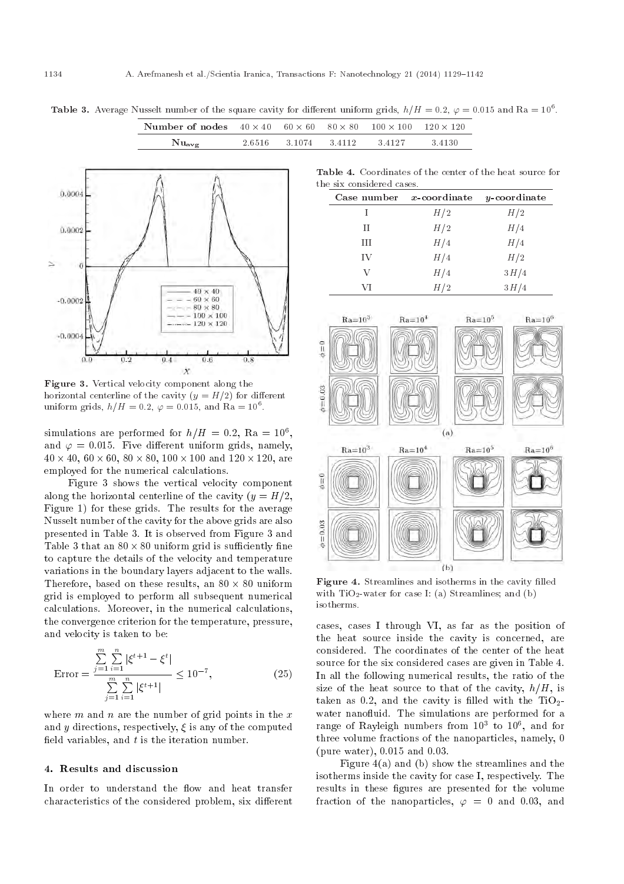Table 3. Average Nusselt number of the square cavity for different uniform grids,  $h/H = 0.2$ ,  $\varphi = 0.015$  and Ra = 10<sup>6</sup>.  $60 \times 60$ 

 $80 \times 80$ 

 $100 \times 100$ 

|                                      | $Nu_{avg}$                                                                                                           | 2.6516 | 3.1074 | 3.4112                    | 3.4127      | 3.4130                           |
|--------------------------------------|----------------------------------------------------------------------------------------------------------------------|--------|--------|---------------------------|-------------|----------------------------------|
|                                      |                                                                                                                      |        |        | the six considered cases. |             | Table 4. Coordinates of the cent |
| 0.0004                               |                                                                                                                      |        |        |                           | Case number | $x$ -coordin                     |
|                                      |                                                                                                                      |        |        |                           |             | H/2                              |
| 0.0002                               |                                                                                                                      |        |        |                           | П           | H/2                              |
|                                      |                                                                                                                      |        |        |                           | Ш           | H/4                              |
|                                      |                                                                                                                      |        |        | IV                        |             | H/4                              |
| $\cup$                               |                                                                                                                      |        |        | V                         |             | H/4                              |
|                                      | $40 \times 40$                                                                                                       |        |        |                           | VI          | H/2                              |
| $-0.0002$<br>$-0.0004$<br>0.2<br>0.0 | $60 \times 60$<br>$-$ 80 $\times$ 80<br>$-100\times100$<br>$   120 \times 120$<br>0.6<br>$0.4 -$<br>$\boldsymbol{X}$ | 0.8    |        | $Ra = 103$<br>$\phi=0$    |             | $Ra = 104$                       |

Number of nodes  $40 \times 40$ 

Figure 3. Vertical velocity component along the horizontal centerline of the cavity  $(y = H/2)$  for different uniform grids,  $h/H = 0.2$ ,  $\varphi = 0.015$ , and Ra =  $10^6$ .

simulations are performed for  $h/H = 0.2$ , Ra =  $10^6$ , and  $\varphi = 0.015$ . Five different uniform grids, namely,  $40 \times 40, 60 \times 60, 80 \times 80, 100 \times 100 \text{ and } 120 \times 120, \text{ are}$ employed for the numerical calculations.

Figure 3 shows the vertical velocity component along the horizontal centerline of the cavity  $(y = H/2,$ Figure 1) for these grids. The results for the average Nusselt number of the cavity for the above grids are also presented in Table 3. It is observed from Figure 3 and Table 3 that an  $80 \times 80$  uniform grid is sufficiently fine to capture the details of the velocity and temperature variations in the boundary layers adjacent to the walls. Therefore, based on these results, an  $80 \times 80$  uniform grid is employed to perform all subsequent numerical calculations. Moreover, in the numerical calculations, the convergence criterion for the temperature, pressure, and velocity is taken to be:

$$
\text{Error} = \frac{\sum_{j=1}^{m} \sum_{i=1}^{n} |\xi^{t+1} - \xi^t|}{\sum_{j=1}^{m} \sum_{i=1}^{n} |\xi^{t+1}|} \le 10^{-7},\tag{25}
$$

where  $m$  and  $n$  are the number of grid points in the  $x$ and y directions, respectively,  $\xi$  is any of the computed field variables, and  $t$  is the iteration number.

#### 4. Results and discussion

In order to understand the flow and heat transfer characteristics of the considered problem, six different

Table 4. Coordinates of the center of the heat source for the six considered cases.

 $100$   $120 \times 120$ 

| Case number $x$ -coordinate |     | $y$ -coordinate |
|-----------------------------|-----|-----------------|
|                             | H/2 | H/2             |
| Н                           | H/2 | H/4             |
| Ш                           | H/4 | H/4             |
| ĪV                          | H/4 | H/2             |
| V                           | H/4 | 3H/4            |
| VI                          | H/2 | 3H/4            |



Figure 4. Streamlines and isotherms in the cavity filled with  $TiO<sub>2</sub>$ -water for case I: (a) Streamlines; and (b) isotherms.

cases, cases I through VI, as far as the position of the heat source inside the cavity is concerned, are considered. The coordinates of the center of the heat source for the six considered cases are given in Table 4. In all the following numerical results, the ratio of the size of the heat source to that of the cavity,  $h/H$ , is taken as 0.2, and the cavity is filled with the  $TiO<sub>2</sub>$ water nanofluid. The simulations are performed for a range of Rayleigh numbers from  $10^3$  to  $10^6,\ \mathrm{and}$  for three volume fractions of the nanoparticles, namely, 0 (pure water), 0.015 and 0.03.

Figure 4(a) and (b) show the streamlines and the isotherms inside the cavity for case I, respectively. The results in these figures are presented for the volume fraction of the nanoparticles,  $\varphi = 0$  and 0.03, and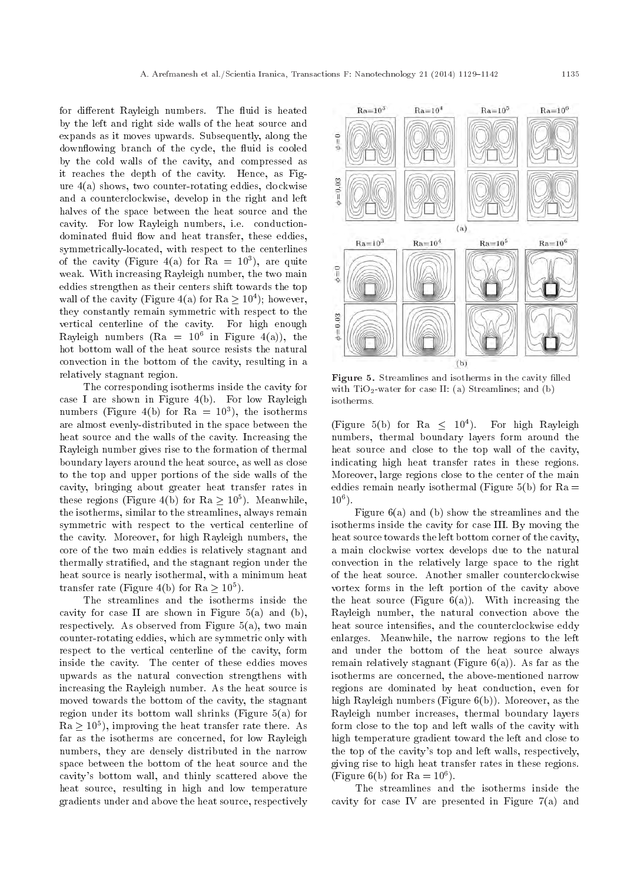for different Rayleigh numbers. The fluid is heated by the left and right side walls of the heat source and expands as it moves upwards. Subsequently, along the downflowing branch of the cycle, the fluid is cooled by the cold walls of the cavity, and compressed as it reaches the depth of the cavity. Hence, as Figure 4(a) shows, two counter-rotating eddies, clockwise and a counterclockwise, develop in the right and left halves of the space between the heat source and the cavity. For low Rayleigh numbers, i.e. conductiondominated fluid flow and heat transfer, these eddies, symmetrically-located, with respect to the centerlines of the cavity (Figure 4(a) for  $Ra = 10^3$ ), are quite weak. With increasing Rayleigh number, the two main eddies strengthen as their centers shift towards the top wall of the cavity (Figure 4(a) for  $Ra \geq 10^4$ ); however, they constantly remain symmetric with respect to the vertical centerline of the cavity. For high enough Rayleigh numbers (Ra =  $10^6$  in Figure 4(a)), the hot bottom wall of the heat source resists the natural convection in the bottom of the cavity, resulting in a relatively stagnant region.

The corresponding isotherms inside the cavity for case I are shown in Figure 4(b). For low Rayleigh numbers (Figure 4(b) for  $Ra = 10^3$ ), the isotherms are almost evenly-distributed in the space between the heat source and the walls of the cavity. Increasing the Rayleigh number gives rise to the formation of thermal boundary layers around the heat source, as well as close to the top and upper portions of the side walls of the cavity, bringing about greater heat transfer rates in these regions (Figure 4(b) for  $Ra \geq 10^5$ ). Meanwhile, the isotherms, similar to the streamlines, always remain symmetric with respect to the vertical centerline of the cavity. Moreover, for high Rayleigh numbers, the core of the two main eddies is relatively stagnant and thermally stratied, and the stagnant region under the heat source is nearly isothermal, with a minimum heat transfer rate (Figure 4(b) for  $Ra \geq 10^5$ ).

The streamlines and the isotherms inside the cavity for case II are shown in Figure 5(a) and (b), respectively. As observed from Figure  $5(a)$ , two main counter-rotating eddies, which are symmetric only with respect to the vertical centerline of the cavity, form inside the cavity. The center of these eddies moves upwards as the natural convection strengthens with increasing the Rayleigh number. As the heat source is moved towards the bottom of the cavity, the stagnant region under its bottom wall shrinks (Figure 5(a) for  $\rm Ra \geq 10^5),$  improving the heat transfer rate there. As far as the isotherms are concerned, for low Rayleigh numbers, they are densely distributed in the narrow space between the bottom of the heat source and the cavity's bottom wall, and thinly scattered above the heat source, resulting in high and low temperature gradients under and above the heat source, respectively



Figure 5. Streamlines and isotherms in the cavity filled with  $TiO<sub>2</sub>$ -water for case II: (a) Streamlines; and (b) isotherms.

(Figure 5(b) for Ra  $\leq 10^4$ ). For high Rayleigh numbers, thermal boundary layers form around the heat source and close to the top wall of the cavity, indicating high heat transfer rates in these regions. Moreover, large regions close to the center of the main eddies remain nearly isothermal (Figure 5(b) for  $Ra =$  $10^6$  ).

Figure 6(a) and (b) show the streamlines and the isotherms inside the cavity for case III. By moving the heat source towards the left bottom corner of the cavity, a main clockwise vortex develops due to the natural convection in the relatively large space to the right of the heat source. Another smaller counterclockwise vortex forms in the left portion of the cavity above the heat source (Figure  $6(a)$ ). With increasing the Rayleigh number, the natural convection above the heat source intensifies, and the counterclockwise eddy enlarges. Meanwhile, the narrow regions to the left and under the bottom of the heat source always remain relatively stagnant (Figure  $6(a)$ ). As far as the isotherms are concerned, the above-mentioned narrow regions are dominated by heat conduction, even for high Rayleigh numbers (Figure 6(b)). Moreover, as the Rayleigh number increases, thermal boundary layers form close to the top and left walls of the cavity with high temperature gradient toward the left and close to the top of the cavity's top and left walls, respectively, giving rise to high heat transfer rates in these regions. (Figure 6(b) for  $Ra = 10^6$ ).

The streamlines and the isotherms inside the cavity for case IV are presented in Figure 7(a) and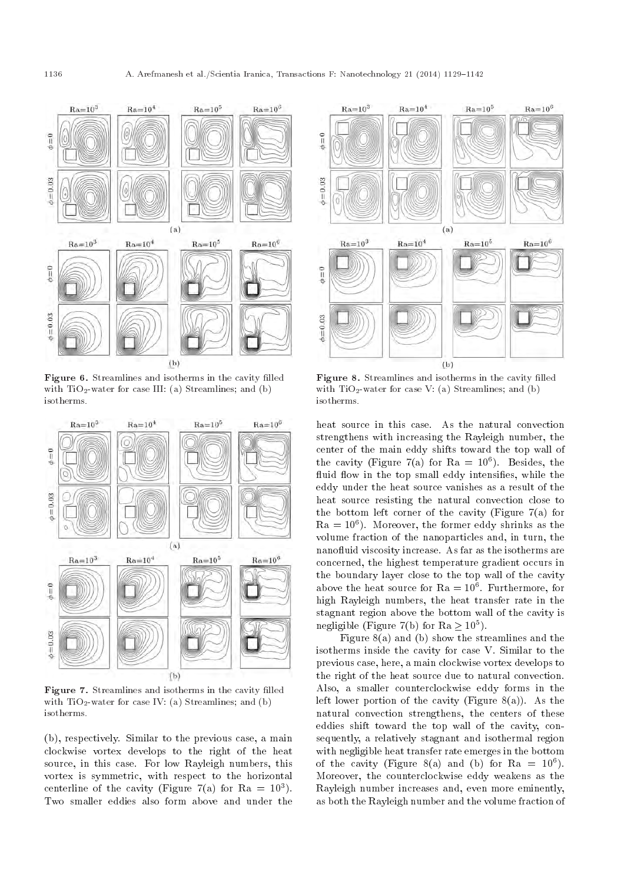

Figure 6. Streamlines and isotherms in the cavity filled with  $TiO<sub>2</sub>$ -water for case III: (a) Streamlines; and (b) isotherms.



Figure 7. Streamlines and isotherms in the cavity filled with  $TiO<sub>2</sub>$ -water for case IV: (a) Streamlines; and (b) isotherms.

(b), respectively. Similar to the previous case, a main clockwise vortex develops to the right of the heat source, in this case. For low Rayleigh numbers, this vortex is symmetric, with respect to the horizontal centerline of the cavity (Figure 7(a) for  $Ra = 10^3$ ). Two smaller eddies also form above and under the



Figure 8. Streamlines and isotherms in the cavity filled with  $TiO<sub>2</sub>$ -water for case V: (a) Streamlines; and (b) isotherms.

heat source in this case. As the natural convection strengthens with increasing the Rayleigh number, the center of the main eddy shifts toward the top wall of the cavity (Figure 7(a) for  $Ra = 10^6$ ). Besides, the fluid flow in the top small eddy intensifies, while the eddy under the heat source vanishes as a result of the heat source resisting the natural convection close to the bottom left corner of the cavity (Figure 7(a) for  $Ra = 10<sup>6</sup>$ ). Moreover, the former eddy shrinks as the volume fraction of the nanoparticles and, in turn, the nanofluid viscosity increase. As far as the isotherms are concerned, the highest temperature gradient occurs in the boundary layer close to the top wall of the cavity above the heat source for  $\rm{Ra}=10^6$ . Furthermore, for high Rayleigh numbers, the heat transfer rate in the stagnant region above the bottom wall of the cavity is negligible (Figure 7(b) for Ra  $\geq 10^5$ ).

Figure 8(a) and (b) show the streamlines and the isotherms inside the cavity for case V. Similar to the previous case, here, a main clockwise vortex develops to the right of the heat source due to natural convection. Also, a smaller counterclockwise eddy forms in the left lower portion of the cavity (Figure  $8(a)$ ). As the natural convection strengthens, the centers of these eddies shift toward the top wall of the cavity, consequently, a relatively stagnant and isothermal region with negligible heat transfer rate emerges in the bottom of the cavity (Figure 8(a) and (b) for Ra =  $10^6$ ). Moreover, the counterclockwise eddy weakens as the Rayleigh number increases and, even more eminently, as both the Rayleigh number and the volume fraction of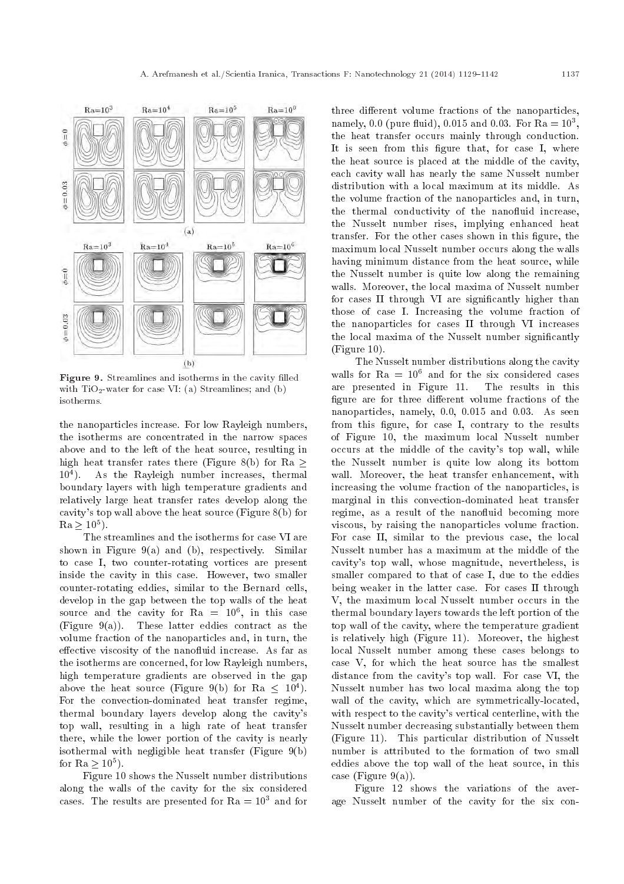

Figure 9. Streamlines and isotherms in the cavity filled with  $TiO<sub>2</sub>$ -water for case VI: (a) Streamlines; and (b) isotherms.

the nanoparticles increase. For low Rayleigh numbers, the isotherms are concentrated in the narrow spaces above and to the left of the heat source, resulting in high heat transfer rates there (Figure 8(b) for Ra  $\geq$  $10^{4}$ ). ). As the Rayleigh number increases, thermal boundary layers with high temperature gradients and relatively large heat transfer rates develop along the cavity's top wall above the heat source (Figure 8(b) for  $Ra \geq 10^5$ ).

The streamlines and the isotherms for case VI are shown in Figure  $9(a)$  and (b), respectively. Similar to case I, two counter-rotating vortices are present inside the cavity in this case. However, two smaller counter-rotating eddies, similar to the Bernard cells, develop in the gap between the top walls of the heat source and the cavity for  $\rm{Ra}~=~10^6,$  in this case (Figure 9(a)). These latter eddies contract as the volume fraction of the nanoparticles and, in turn, the effective viscosity of the nanofluid increase. As far as the isotherms are concerned, for low Rayleigh numbers, high temperature gradients are observed in the gap above the heat source (Figure 9(b) for Ra  $\leq 10^4$ ). For the convection-dominated heat transfer regime, thermal boundary layers develop along the cavity's top wall, resulting in a high rate of heat transfer there, while the lower portion of the cavity is nearly isothermal with negligible heat transfer (Figure 9(b) for Ra  $\geq 10^5$ ).

Figure 10 shows the Nusselt number distributions along the walls of the cavity for the six considered cases. The results are presented for  $Ra = 10<sup>3</sup>$  and for three different volume fractions of the nanoparticles, namely, 0.0 (pure fluid), 0.015 and 0.03. For  $Ra = 10^3$ , the heat transfer occurs mainly through conduction. It is seen from this figure that, for case I, where the heat source is placed at the middle of the cavity, each cavity wall has nearly the same Nusselt number distribution with a local maximum at its middle. As the volume fraction of the nanoparticles and, in turn, the thermal conductivity of the nanofluid increase, the Nusselt number rises, implying enhanced heat transfer. For the other cases shown in this figure, the maximum local Nusselt number occurs along the walls having minimum distance from the heat source, while the Nusselt number is quite low along the remaining walls. Moreover, the local maxima of Nusselt number for cases II through VI are significantly higher than those of case I. Increasing the volume fraction of the nanoparticles for cases II through VI increases the local maxima of the Nusselt number signicantly (Figure 10).

The Nusselt number distributions along the cavity walls for  $Ra = 10^6$  and for the six considered cases are presented in Figure 11. The results in this figure are for three different volume fractions of the nanoparticles, namely, 0.0, 0.015 and 0.03. As seen from this figure, for case I, contrary to the results of Figure 10, the maximum local Nusselt number occurs at the middle of the cavity's top wall, while the Nusselt number is quite low along its bottom wall. Moreover, the heat transfer enhancement, with increasing the volume fraction of the nanoparticles, is marginal in this convection-dominated heat transfer regime, as a result of the nanofluid becoming more viscous, by raising the nanoparticles volume fraction. For case II, similar to the previous case, the local Nusselt number has a maximum at the middle of the cavity's top wall, whose magnitude, nevertheless, is smaller compared to that of case I, due to the eddies being weaker in the latter case. For cases II through V, the maximum local Nusselt number occurs in the thermal boundary layers towards the left portion of the top wall of the cavity, where the temperature gradient is relatively high (Figure 11). Moreover, the highest local Nusselt number among these cases belongs to case V, for which the heat source has the smallest distance from the cavity's top wall. For case VI, the Nusselt number has two local maxima along the top wall of the cavity, which are symmetrically-located, with respect to the cavity's vertical centerline, with the Nusselt number decreasing substantially between them (Figure 11). This particular distribution of Nusselt number is attributed to the formation of two small eddies above the top wall of the heat source, in this case (Figure 9(a)).

Figure 12 shows the variations of the average Nusselt number of the cavity for the six con-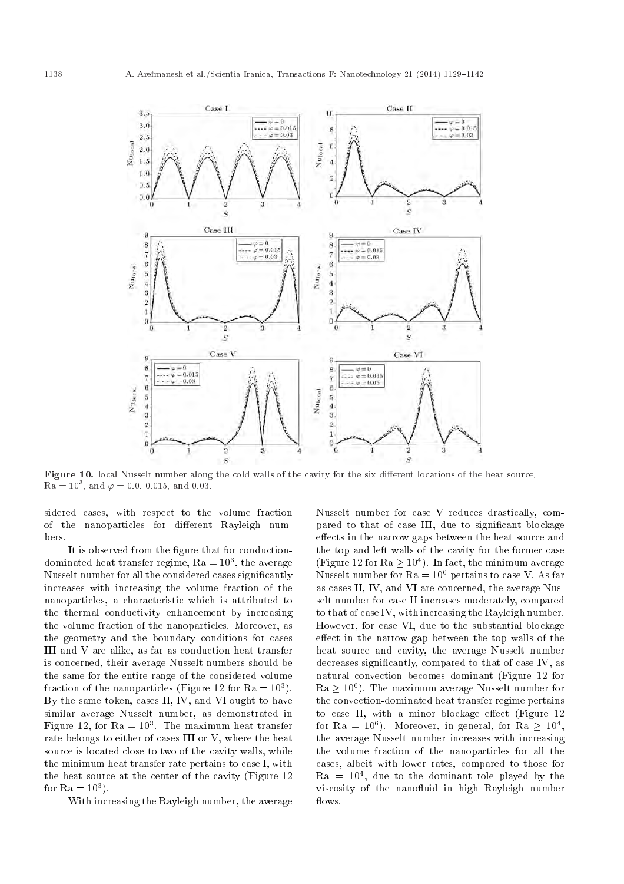Case 1 Case II  $2.5$  $\overline{10}$  $\psi = 0$ <br>  $\varphi = 0.015$ <br>  $\varphi = 0.03$  $\varphi = 0$  $3.0$  $-20 = 0.015$  $\overline{\mathbf{S}}$  $\varphi=0.03$  $2.5$ Nulocal  $_{\rm N116$   $_{\rm out}$  $\ddot{6}$  $^{2.0}$  $1.5$  $\overline{4}$ 1.0  $\overline{2}$  $0.5$  $\overline{0}$  $0.0$  $\overline{0}$ Š  $\ddot{s}$ Case III Case IV 9  $\Rightarrow \varphi = 0$ <br>  $\Rightarrow \varphi = 0.015$ <br>  $\therefore \varphi = 0.03$  $\begin{array}{c} 8 \\ 7 \\ 6 \end{array}$  $\begin{array}{l}\n\psi = 0 \\
\psi = 0.015\n\end{array}$  $\boldsymbol{s}$  $\frac{1}{7}$  $\varphi=0.03$ Nujocal  $\mathbf 6$ Nulscal  $\overline{5}$  $\overline{5}$  $\mathbf{d}$  $\overline{4}$  $\overline{\overline{3}}$  $\sqrt{3}$  $\overline{\mathbf{2}}$  $\overline{2}$  $\mathbf 1$  $\mathbf{1}$  $\theta$  $\overline{0}$  $\theta$  $\overline{2}$  $\overline{0}$  $\overline{2}$  $\overline{s}$  $\overline{S}$ Case V Case VI  $\overline{9}$ **g**  $\overline{8}$  $\rho = 0$ <br> $\rho = 0.015$  $\varphi = 0$ <br> $\varphi = 0.015$ <br> $\therefore \varphi = 0.03$  $\frac{8}{7}$  $\overline{7}$  $- - \varphi = 0.03$  $_{\rm NIIocal}$  $\, 6$  $\overline{6}$  $Nu_{local}$  $\boldsymbol{5}$  $\overline{5}$  $\overline{4}$  $\overline{4}$  $\overline{3}$ 3  $\overline{2}$  $\tilde{g}$ n  $\theta$  $\theta$  $\ddot{0}$  $\overline{2}$ 3  $\Omega$  $\overline{2}$ 3  $\overline{s}$  $\overline{S}$ 

Figure 10. local Nusselt number along the cold walls of the cavity for the six different locations of the heat source,  $\rm{Ra}=10^3, \ \rm{and} \ \varphi=0.0, \ 0.015, \ \rm{and} \ \ 0.03.$ 

sidered cases, with respect to the volume fraction of the nanoparticles for different Rayleigh numbers.

It is observed from the figure that for conductiondominated heat transfer regime,  $Ra = 10^3$ , the average Nusselt number for all the considered cases signicantly increases with increasing the volume fraction of the nanoparticles, a characteristic which is attributed to the thermal conductivity enhancement by increasing the volume fraction of the nanoparticles. Moreover, as the geometry and the boundary conditions for cases III and V are alike, as far as conduction heat transfer is concerned, their average Nusselt numbers should be the same for the entire range of the considered volume fraction of the nanoparticles (Figure 12 for  $Ra = 10^3$ ). By the same token, cases II, IV, and VI ought to have similar average Nusselt number, as demonstrated in Figure 12, for  $\rm{Ra}=10^3$ . The maximum heat transfer rate belongs to either of cases III or V, where the heat source is located close to two of the cavity walls, while the minimum heat transfer rate pertains to case I, with the heat source at the center of the cavity (Figure 12 for  $Ra = 10^3$ ).

With increasing the Rayleigh number, the average

Nusselt number for case V reduces drastically, compared to that of case III, due to signicant blockage effects in the narrow gaps between the heat source and the top and left walls of the cavity for the former case (Figure 12 for  $Ra \geq 10^4$ ). In fact, the minimum average Nusselt number for  $Ra = 10^6$  pertains to case V. As far as cases II, IV, and VI are concerned, the average Nusselt number for case II increases moderately, compared to that of case IV, with increasing the Rayleigh number. However, for case VI, due to the substantial blockage effect in the narrow gap between the top walls of the heat source and cavity, the average Nusselt number decreases signicantly, compared to that of case IV, as natural convection becomes dominant (Figure 12 for  $Ra \geq 10^6$ ). The maximum average Nusselt number for the convection-dominated heat transfer regime pertains to case II, with a minor blockage effect (Figure  $12$ ) for Ra =  $10^6$ ). Moreover, in general, for Ra  $\geq 10^4,$ the average Nusselt number increases with increasing the volume fraction of the nanoparticles for all the cases, albeit with lower rates, compared to those for  $Ra = 10<sup>4</sup>$ , due to the dominant role played by the viscosity of the nanofluid in high Rayleigh number flows.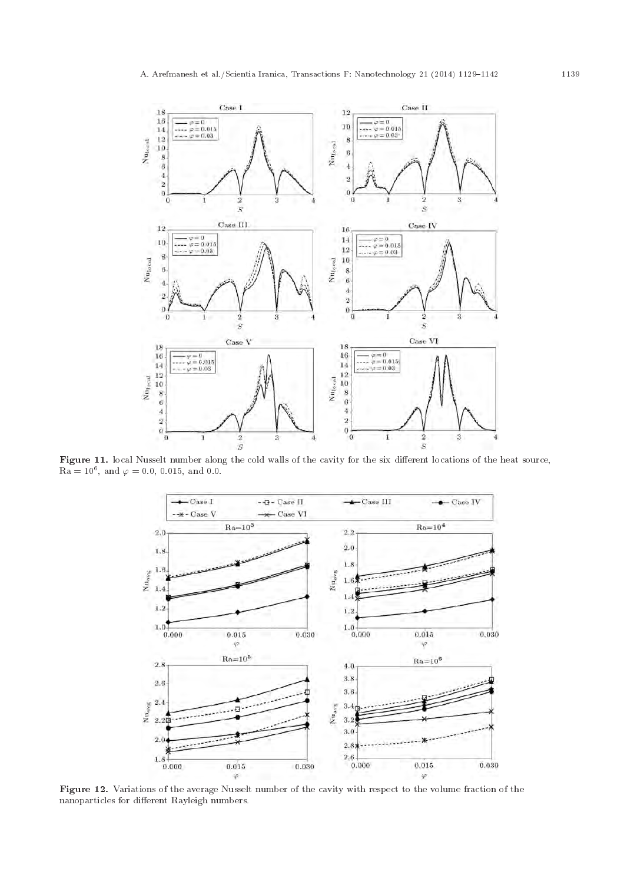

Figure 11. local Nusselt number along the cold walls of the cavity for the six different locations of the heat source,  $\rm{Ra}=10^6, \ \rm{and} \ \varphi=0.0, \ 0.015, \ \rm{and} \ \ 0.0.$ 



Figure 12. Variations of the average Nusselt number of the cavity with respect to the volume fraction of the nanoparticles for different Rayleigh numbers.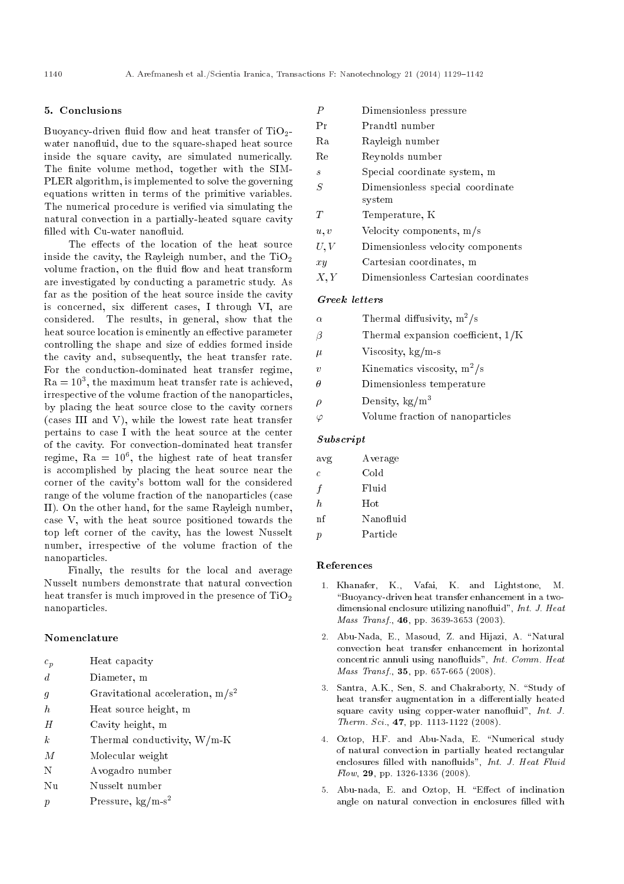#### 5. Conclusions

Buoyancy-driven fluid flow and heat transfer of  $TiO<sub>2</sub>$ water nanofluid, due to the square-shaped heat source inside the square cavity, are simulated numerically. The finite volume method, together with the SIM-PLER algorithm, is implemented to solve the governing equations written in terms of the primitive variables. The numerical procedure is veried via simulating the natural convection in a partially-heated square cavity filled with Cu-water nanofluid.

The effects of the location of the heat source inside the cavity, the Rayleigh number, and the  $TiO<sub>2</sub>$ volume fraction, on the fluid flow and heat transform are investigated by conducting a parametric study. As far as the position of the heat source inside the cavity is concerned, six different cases, I through VI, are considered. The results, in general, show that the heat source location is eminently an effective parameter controlling the shape and size of eddies formed inside the cavity and, subsequently, the heat transfer rate. For the conduction-dominated heat transfer regime,  $Ra = 10<sup>3</sup>$ , the maximum heat transfer rate is achieved, irrespective of the volume fraction of the nanoparticles, by placing the heat source close to the cavity corners (cases III and V), while the lowest rate heat transfer pertains to case I with the heat source at the center of the cavity. For convection-dominated heat transfer regime,  $Ra = 10^6$ , the highest rate of heat transfer is accomplished by placing the heat source near the corner of the cavity's bottom wall for the considered range of the volume fraction of the nanoparticles (case II). On the other hand, for the same Rayleigh number, case V, with the heat source positioned towards the top left corner of the cavity, has the lowest Nusselt number, irrespective of the volume fraction of the nanoparticles.

Finally, the results for the local and average Nusselt numbers demonstrate that natural convection heat transfer is much improved in the presence of  $TiO<sub>2</sub>$ nanoparticles.

### Nomenclature

- $c_p$  Heat capacity
- d Diameter, m
- g Gravitational acceleration,  $m/s^2$
- $h$  Heat source height, m
- H Cavity height, m
- $k$  Thermal conductivity,  $W/m-K$
- M Molecular weight
- N Avogadro number
- Nu Nusselt number
- p Pressure,  $kg/m-s^2$

| P       | Dimensionless pressure              |
|---------|-------------------------------------|
| Pr      | Prandtl number                      |
| Ra      | Rayleigh number                     |
| Re      | Reynolds number                     |
| S       | Special coordinate system, m        |
| S       | Dimensionless special coordinate    |
|         | system                              |
| T       | Temperature, K                      |
| u, v    | Velocity components, $m/s$          |
| U, V    | Dimensionless velocity components   |
| $x_{y}$ | Cartesian coordinates, m            |
| X, Y    | Dimensionless Cartesian coordinates |

#### Greek letters

| $\alpha$ | Thermal diffusivity, $m^2/s$         |
|----------|--------------------------------------|
| $\beta$  | Thermal expansion coefficient, $1/K$ |
| $\mu$    | Viscosity, $kg/m-s$                  |
| $\eta$   | Kinematics viscosity, $m^2/s$        |
|          | Dimensionless temperature            |
| ρ        | Density, $\text{kg/m}^3$             |
|          | Volume fraction of nanoparticles     |

# Subscript

| avg | Average   |
|-----|-----------|
| C   | Cold      |
| f   | Fluid     |
| h.  | Hot       |
| nf  | Nanofluid |
| р   | Particle  |

#### References

- 1. Khanafer, K., Vafai, K. and Lightstone, M. \Buoyancy-driven heat transfer enhancement in a twodimensional enclosure utilizing nanofluid", Int. J. Heat Mass Transf., **46**, pp. 3639-3653 (2003).
- 2. Abu-Nada, E., Masoud, Z. and Hijazi, A. \Natural convection heat transfer enhancement in horizontal concentric annuli using nanofluids", Int. Comm. Heat Mass Transf., 35, pp. 657-665 (2008).
- 3. Santra, A.K., Sen, S. and Chakraborty, N. "Study of heat transfer augmentation in a differentially heated square cavity using copper-water nanofluid",  $Int. J.$ Therm. Sci., 47, pp. 1113-1122 (2008).
- 4. Oztop, H.F. and Abu-Nada, E. "Numerical study of natural convection in partially heated rectangular enclosures filled with nanofluids", Int. J. Heat Fluid  $Flow$ , 29, pp. 1326-1336 (2008).
- 5. Abu-nada, E. and Oztop, H. "Effect of inclination angle on natural convection in enclosures filled with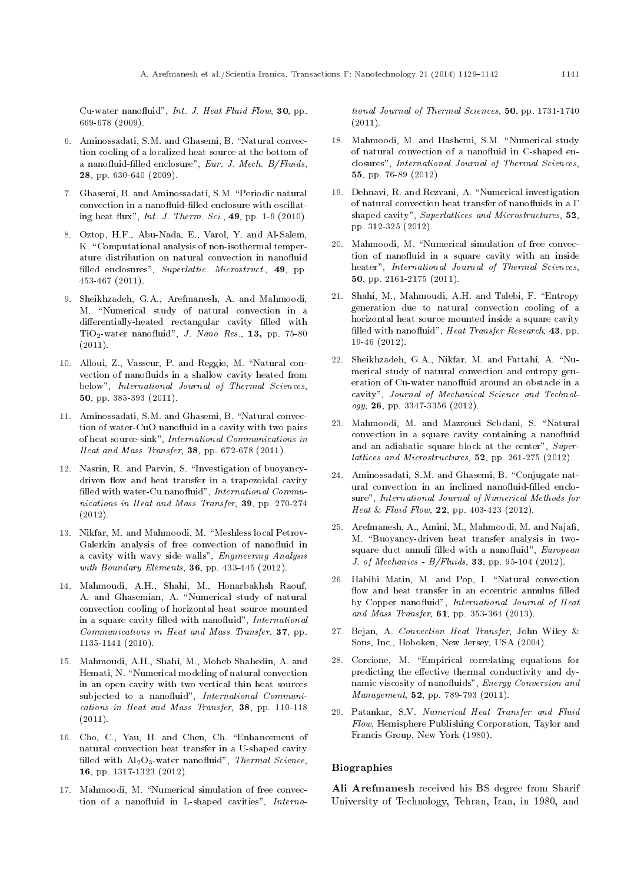Cu-water nanofluid", Int. J. Heat Fluid Flow, 30, pp. 669-678 (2009).

- 6. Aminossadati, S.M. and Ghasemi, B. "Natural convection cooling of a localized heat source at the bottom of a nanofluid-filled enclosure", Eur. J. Mech. B/Fluids, 28, pp. 630-640 (2009).
- 7. Ghasemi, B. and Aminossadati, S.M. \Periodic natural convection in a nanofluid-filled enclosure with oscillating heat flux", *Int. J. Therm. Sci.*, 49, pp. 1-9 (2010).
- 8. Oztop, H.F., Abu-Nada, E., Varol, Y. and Al-Salem, K. "Computational analysis of non-isothermal temperature distribution on natural convection in nanofluid filled enclosures", Superlattic. Microstruct., 49, pp. 453-467 (2011).
- 9. Sheikhzadeh, G.A., Arefmanesh, A. and Mahmoodi, M. "Numerical study of natural convection in a differentially-heated rectangular cavity filled with  $TiO<sub>2</sub>$ -water nanofluid", J. Nano Res., 13, pp. 75-80  $(2011).$
- 10. Alloui, Z., Vasseur, P. and Reggio, M. "Natural convection of nanofluids in a shallow cavity heated from below", International Journal of Thermal Sciences, 50, pp. 385-393 (2011).
- 11. Aminossadati, S.M. and Ghasemi, B. "Natural convection of water-CuO nanofluid in a cavity with two pairs of heat source-sink", International Communications in Heat and Mass Transfer, 38, pp. 672-678 (2011).
- 12. Nasrin, R. and Parvin, S. \Investigation of buoyancydriven flow and heat transfer in a trapezoidal cavity filled with water-Cu nanofluid", International Communications in Heat and Mass Transfer, 39, pp. 270-274 (2012).
- 13. Nikfar, M. and Mahmoodi, M. "Meshless local Petrov-Galerkin analysis of free convection of nanofluid in a cavity with wavy side walls", Engineering Analysis with Boundary Elements, **36**, pp. 433-445 (2012).
- 14. Mahmoudi, A.H., Shahi, M., Honarbakhsh Raouf, A. and Ghasemian, A. "Numerical study of natural convection cooling of horizontal heat source mounted in a square cavity filled with nanofluid", International Communications in Heat and Mass Transfer, 37, pp. 1135-1141 (2010).
- 15. Mahmoudi, A.H., Shahi, M., Moheb Shahedin, A. and Hemati, N. "Numerical modeling of natural convection in an open cavity with two vertical thin heat sources subjected to a nanofluid", International Communications in Heat and Mass Transfer, 38, pp. 110-118  $(2011).$
- 16. Cho, C., Yau, H. and Chen, Ch. \Enhancement of natural convection heat transfer in a U-shaped cavity filled with  $Al_2O_3$ -water nanofluid", Thermal Science, 16, pp. 1317-1323 (2012).
- 17. Mahmoodi, M. "Numerical simulation of free convection of a nanofluid in L-shaped cavities", Interna-

tional Journal of Thermal Sciences, 50, pp. 1731-1740  $(2011).$ 

- 18. Mahmoodi, M. and Hashemi, S.M. "Numerical study of natural convection of a nanofluid in C-shaped enclosures", International Journal of Thermal Sciences, 55, pp. 76-89 (2012).
- 19. Dehnavi, R. and Rezvani, A. "Numerical investigation of natural convection heat transfer of nanofluids in a  $\Gamma$ shaped cavity", Superlattices and Microstructures, 52, pp. 312-325 (2012).
- 20. Mahmoodi, M. "Numerical simulation of free convection of nanofluid in a square cavity with an inside heater", International Journal of Thermal Sciences, 50, pp. 2161-2175 (2011).
- 21. Shahi, M., Mahmoudi, A.H. and Talebi, F. \Entropy generation due to natural convection cooling of a horizontal heat source mounted inside a square cavity filled with nanofluid", Heat Transfer Research, 43, pp. 19-46 (2012).
- 22. Sheikhzadeh, G.A., Nikfar, M. and Fattahi, A. "Numerical study of natural convection and entropy generation of Cu-water nanofluid around an obstacle in a cavity", Journal of Mechanical Science and Technology, 26, pp. 3347-3356 (2012).
- 23. Mahmoodi, M. and Mazrouei Sebdani, S. "Natural convection in a square cavity containing a nanofluid and an adiabatic square block at the center", Superlattices and Microstructures, 52, pp. 261-275 (2012).
- 24. Aminossadati, S.M. and Ghasemi, B. "Conjugate natural convection in an inclined nanofluid-filled enclosure", International Journal of Numerical Methods for Heat & Fluid Flow, 22, pp. 403-423 (2012).
- 25. Arefmanesh, A., Amini, M., Mahmoodi, M. and Najafi, M. "Buoyancy-driven heat transfer analysis in twosquare duct annuli filled with a nanofluid", European J. of Mechanics -  $B/Fluids$ , **33**, pp. 95-104 (2012).
- 26. Habibi Matin, M. and Pop, I. "Natural convection flow and heat transfer in an eccentric annulus filled by Copper nanofluid", International Journal of Heat and Mass Transfer, 61, pp. 353-364 (2013).
- 27. Bejan, A. Convection Heat Transfer, John Wiley & Sons, Inc., Hoboken, New Jersey, USA (2004).
- 28. Corcione, M. \Empirical correlating equations for predicting the effective thermal conductivity and dynamic viscosity of nanofluids", Energy Conversion and Management, **52**, pp. 789-793 (2011).
- 29. Patankar, S.V. Numerical Heat Transfer and Fluid Flow, Hemisphere Publishing Corporation, Taylor and Francis Group, New York (1980).

#### Biographies

Ali Arefmanesh received his BS degree from Sharif University of Technology, Tehran, Iran, in 1980, and